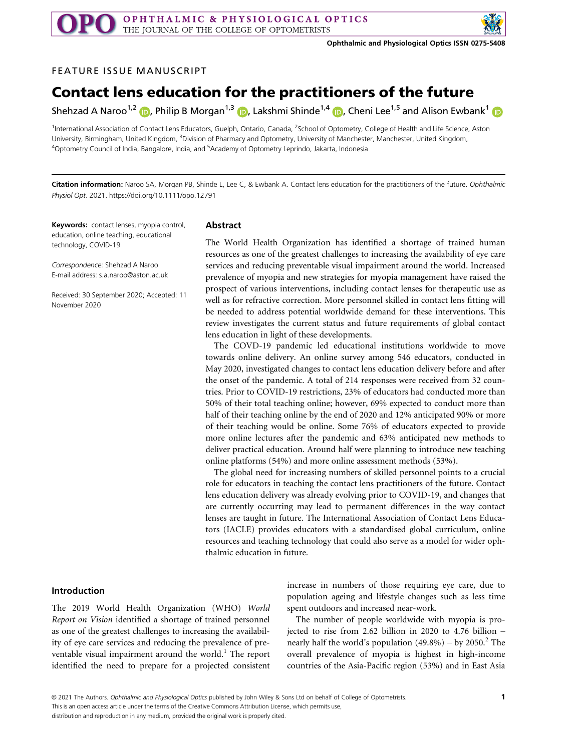

## FEATURE ISSUE MANUSCRIPT

# Contact lens education for the practitioners of the future

Shehzad A Naroo<sup>1,[2](https://orcid.org/0000-0002-6373-7187)</sup> **D**, Philip B Morgan<sup>1,[3](https://orcid.org/0000-0003-0680-8169)</sup> **D**, Lakshmi Shinde<sup>1,[4](https://orcid.org/0000-0003-0397-5199)</sup> **D**, Cheni Lee<sup>[1](https://orcid.org/0000-0002-9663-9233),5</sup> and Alison Ewbank<sup>1</sup> **D** 

<sup>1</sup>International Association of Contact Lens Educators, Guelph, Ontario, Canada, <sup>2</sup>School of Optometry, College of Health and Life Science, Aston University, Birmingham, United Kingdom, <sup>3</sup>Division of Pharmacy and Optometry, University of Manchester, Manchester, United Kingdom, 4 Optometry Council of India, Bangalore, India, and <sup>5</sup> Academy of Optometry Leprindo, Jakarta, Indonesia

Citation information: Naroo SA, Morgan PB, Shinde L, Lee C, & Ewbank A. Contact lens education for the practitioners of the future. Ophthalmic Physiol Opt. 2021.<https://doi.org/10.1111/opo.12791>

Keywords: contact lenses, myopia control, education, online teaching, educational technology, COVID-19

Correspondence: Shehzad A Naroo E-mail address: [s.a.naroo@aston.ac.uk](mailto:)

Received: 30 September 2020; Accepted: 11 November 2020

## Abstract

The World Health Organization has identified a shortage of trained human resources as one of the greatest challenges to increasing the availability of eye care services and reducing preventable visual impairment around the world. Increased prevalence of myopia and new strategies for myopia management have raised the prospect of various interventions, including contact lenses for therapeutic use as well as for refractive correction. More personnel skilled in contact lens fitting will be needed to address potential worldwide demand for these interventions. This review investigates the current status and future requirements of global contact lens education in light of these developments.

The COVD-19 pandemic led educational institutions worldwide to move towards online delivery. An online survey among 546 educators, conducted in May 2020, investigated changes to contact lens education delivery before and after the onset of the pandemic. A total of 214 responses were received from 32 countries. Prior to COVID-19 restrictions, 23% of educators had conducted more than 50% of their total teaching online; however, 69% expected to conduct more than half of their teaching online by the end of 2020 and 12% anticipated 90% or more of their teaching would be online. Some 76% of educators expected to provide more online lectures after the pandemic and 63% anticipated new methods to deliver practical education. Around half were planning to introduce new teaching online platforms (54%) and more online assessment methods (53%).

The global need for increasing numbers of skilled personnel points to a crucial role for educators in teaching the contact lens practitioners of the future. Contact lens education delivery was already evolving prior to COVID-19, and changes that are currently occurring may lead to permanent differences in the way contact lenses are taught in future. The International Association of Contact Lens Educators (IACLE) provides educators with a standardised global curriculum, online resources and teaching technology that could also serve as a model for wider ophthalmic education in future.

#### Introduction

The 2019 World Health Organization (WHO) World Report on Vision identified a shortage of trained personnel as one of the greatest challenges to increasing the availability of eye care services and reducing the prevalence of preventable visual impairment around the world.<sup>1</sup> The report identified the need to prepare for a projected consistent increase in numbers of those requiring eye care, due to population ageing and lifestyle changes such as less time spent outdoors and increased near-work.

The number of people worldwide with myopia is projected to rise from 2.62 billion in 2020 to 4.76 billion – nearly half the world's population  $(49.8\%)$  – by 2050.<sup>2</sup> The overall prevalence of myopia is highest in high-income countries of the Asia-Pacific region (53%) and in East Asia

This is an open access article under the terms of the [Creative Commons Attribution](http://creativecommons.org/licenses/by/4.0/) License, which permits use,

distribution and reproduction in any medium, provided the original work is properly cited.

<sup>©</sup> 2021 The Authors. Ophthalmic and Physiological Optics published by John Wiley & Sons Ltd on behalf of College of Optometrists.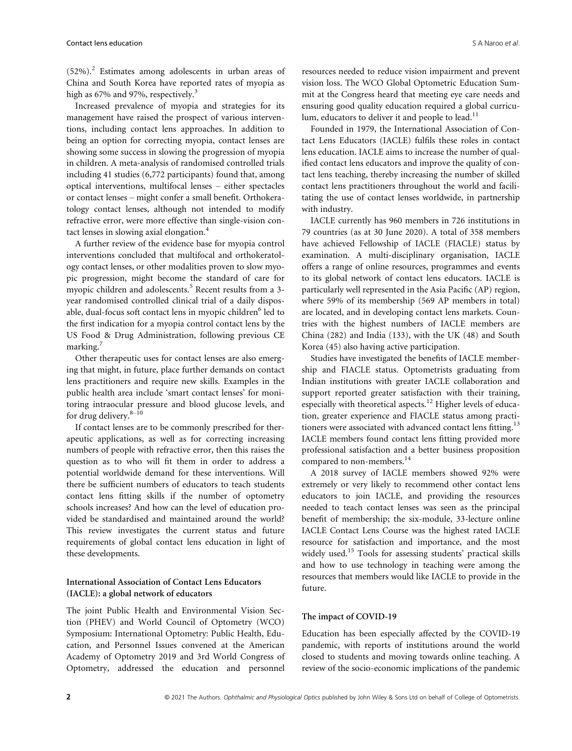$(52%)$ .<sup>2</sup> Estimates among adolescents in urban areas of China and South Korea have reported rates of myopia as high as 67% and 97%, respectively.<sup>3</sup>

Increased prevalence of myopia and strategies for its management have raised the prospect of various interventions, including contact lens approaches. In addition to being an option for correcting myopia, contact lenses are showing some success in slowing the progression of myopia in children. A meta-analysis of randomised controlled trials including 41 studies (6,772 participants) found that, among optical interventions, multifocal lenses – either spectacles or contact lenses – might confer a small benefit. Orthokeratology contact lenses, although not intended to modify refractive error, were more effective than single-vision contact lenses in slowing axial elongation.<sup>4</sup>

A further review of the evidence base for myopia control interventions concluded that multifocal and orthokeratology contact lenses, or other modalities proven to slow myopic progression, might become the standard of care for myopic children and adolescents.<sup>5</sup> Recent results from a 3year randomised controlled clinical trial of a daily disposable, dual-focus soft contact lens in myopic children<sup>6</sup> led to the first indication for a myopia control contact lens by the US Food & Drug Administration, following previous CE marking.<sup>7</sup>

Other therapeutic uses for contact lenses are also emerging that might, in future, place further demands on contact lens practitioners and require new skills. Examples in the public health area include 'smart contact lenses' for monitoring intraocular pressure and blood glucose levels, and for drug delivery.<sup>8-10</sup>

If contact lenses are to be commonly prescribed for therapeutic applications, as well as for correcting increasing numbers of people with refractive error, then this raises the question as to who will fit them in order to address a potential worldwide demand for these interventions. Will there be sufficient numbers of educators to teach students contact lens fitting skills if the number of optometry schools increases? And how can the level of education provided be standardised and maintained around the world? This review investigates the current status and future requirements of global contact lens education in light of these developments.

# International Association of Contact Lens Educators (IACLE): a global network of educators

The joint Public Health and Environmental Vision Section (PHEV) and World Council of Optometry (WCO) Symposium: International Optometry: Public Health, Education, and Personnel Issues convened at the American Academy of Optometry 2019 and 3rd World Congress of Optometry, addressed the education and personnel resources needed to reduce vision impairment and prevent vision loss. The WCO Global Optometric Education Summit at the Congress heard that meeting eye care needs and ensuring good quality education required a global curriculum, educators to deliver it and people to lead. $11$ 

Founded in 1979, the International Association of Contact Lens Educators (IACLE) fulfils these roles in contact lens education. IACLE aims to increase the number of qualified contact lens educators and improve the quality of contact lens teaching, thereby increasing the number of skilled contact lens practitioners throughout the world and facilitating the use of contact lenses worldwide, in partnership with industry.

IACLE currently has 960 members in 726 institutions in 79 countries (as at 30 June 2020). A total of 358 members have achieved Fellowship of IACLE (FIACLE) status by examination. A multi-disciplinary organisation, IACLE offers a range of online resources, programmes and events to its global network of contact lens educators. IACLE is particularly well represented in the Asia Pacific (AP) region, where 59% of its membership (569 AP members in total) are located, and in developing contact lens markets. Countries with the highest numbers of IACLE members are China (282) and India (133), with the UK (48) and South Korea (45) also having active participation.

Studies have investigated the benefits of IACLE membership and FIACLE status. Optometrists graduating from Indian institutions with greater IACLE collaboration and support reported greater satisfaction with their training, especially with theoretical aspects.<sup>12</sup> Higher levels of education, greater experience and FIACLE status among practitioners were associated with advanced contact lens fitting.<sup>13</sup> IACLE members found contact lens fitting provided more professional satisfaction and a better business proposition compared to non-members.<sup>14</sup>

A 2018 survey of IACLE members showed 92% were extremely or very likely to recommend other contact lens educators to join IACLE, and providing the resources needed to teach contact lenses was seen as the principal benefit of membership; the six-module, 33-lecture online IACLE Contact Lens Course was the highest rated IACLE resource for satisfaction and importance, and the most widely used.<sup>15</sup> Tools for assessing students' practical skills and how to use technology in teaching were among the resources that members would like IACLE to provide in the future.

## The impact of COVID-19

Education has been especially affected by the COVID-19 pandemic, with reports of institutions around the world closed to students and moving towards online teaching. A review of the socio-economic implications of the pandemic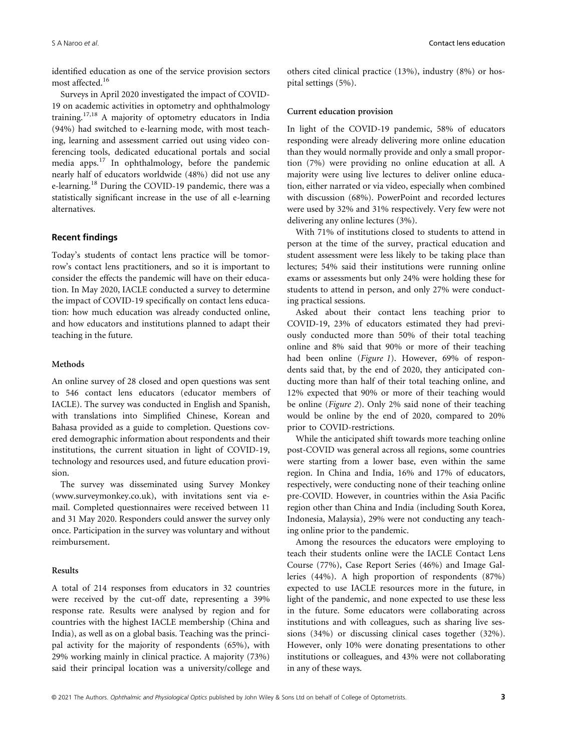identified education as one of the service provision sectors most affected.<sup>16</sup>

Surveys in April 2020 investigated the impact of COVID-19 on academic activities in optometry and ophthalmology training.17,18 A majority of optometry educators in India (94%) had switched to e-learning mode, with most teaching, learning and assessment carried out using video conferencing tools, dedicated educational portals and social media apps.<sup>17</sup> In ophthalmology, before the pandemic nearly half of educators worldwide (48%) did not use any e-learning.<sup>18</sup> During the COVID-19 pandemic, there was a statistically significant increase in the use of all e-learning alternatives.

## Recent findings

Today's students of contact lens practice will be tomorrow's contact lens practitioners, and so it is important to consider the effects the pandemic will have on their education. In May 2020, IACLE conducted a survey to determine the impact of COVID-19 specifically on contact lens education: how much education was already conducted online, and how educators and institutions planned to adapt their teaching in the future.

## Methods

An online survey of 28 closed and open questions was sent to 546 contact lens educators (educator members of IACLE). The survey was conducted in English and Spanish, with translations into Simplified Chinese, Korean and Bahasa provided as a guide to completion. Questions covered demographic information about respondents and their institutions, the current situation in light of COVID-19, technology and resources used, and future education provision.

The survey was disseminated using Survey Monkey [\(www.surveymonkey.co.uk](http://www.surveymonkey.co.uk)), with invitations sent via email. Completed questionnaires were received between 11 and 31 May 2020. Responders could answer the survey only once. Participation in the survey was voluntary and without reimbursement.

#### Results

A total of 214 responses from educators in 32 countries were received by the cut-off date, representing a 39% response rate. Results were analysed by region and for countries with the highest IACLE membership (China and India), as well as on a global basis. Teaching was the principal activity for the majority of respondents (65%), with 29% working mainly in clinical practice. A majority (73%) said their principal location was a university/college and

others cited clinical practice (13%), industry (8%) or hospital settings (5%).

#### Current education provision

In light of the COVID-19 pandemic, 58% of educators responding were already delivering more online education than they would normally provide and only a small proportion (7%) were providing no online education at all. A majority were using live lectures to deliver online education, either narrated or via video, especially when combined with discussion (68%). PowerPoint and recorded lectures were used by 32% and 31% respectively. Very few were not delivering any online lectures (3%).

With 71% of institutions closed to students to attend in person at the time of the survey, practical education and student assessment were less likely to be taking place than lectures; 54% said their institutions were running online exams or assessments but only 24% were holding these for students to attend in person, and only 27% were conducting practical sessions.

Asked about their contact lens teaching prior to COVID-19, 23% of educators estimated they had previously conducted more than 50% of their total teaching online and 8% said that 90% or more of their teaching had been online (Figure 1). However, 69% of respondents said that, by the end of 2020, they anticipated conducting more than half of their total teaching online, and 12% expected that 90% or more of their teaching would be online (Figure 2). Only 2% said none of their teaching would be online by the end of 2020, compared to 20% prior to COVID-restrictions.

While the anticipated shift towards more teaching online post-COVID was general across all regions, some countries were starting from a lower base, even within the same region. In China and India, 16% and 17% of educators, respectively, were conducting none of their teaching online pre-COVID. However, in countries within the Asia Pacific region other than China and India (including South Korea, Indonesia, Malaysia), 29% were not conducting any teaching online prior to the pandemic.

Among the resources the educators were employing to teach their students online were the IACLE Contact Lens Course (77%), Case Report Series (46%) and Image Galleries (44%). A high proportion of respondents (87%) expected to use IACLE resources more in the future, in light of the pandemic, and none expected to use these less in the future. Some educators were collaborating across institutions and with colleagues, such as sharing live sessions (34%) or discussing clinical cases together (32%). However, only 10% were donating presentations to other institutions or colleagues, and 43% were not collaborating in any of these ways.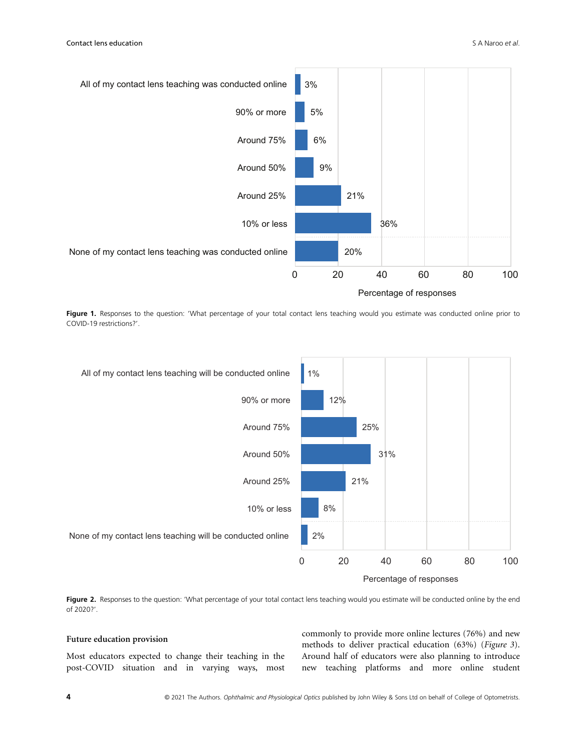

Figure 1. Responses to the question: 'What percentage of your total contact lens teaching would you estimate was conducted online prior to COVID-19 restrictions?'.



Figure 2. Responses to the question: 'What percentage of your total contact lens teaching would you estimate will be conducted online by the end of 2020?'.

## Future education provision

Most educators expected to change their teaching in the post-COVID situation and in varying ways, most commonly to provide more online lectures (76%) and new methods to deliver practical education (63%) (Figure 3). Around half of educators were also planning to introduce new teaching platforms and more online student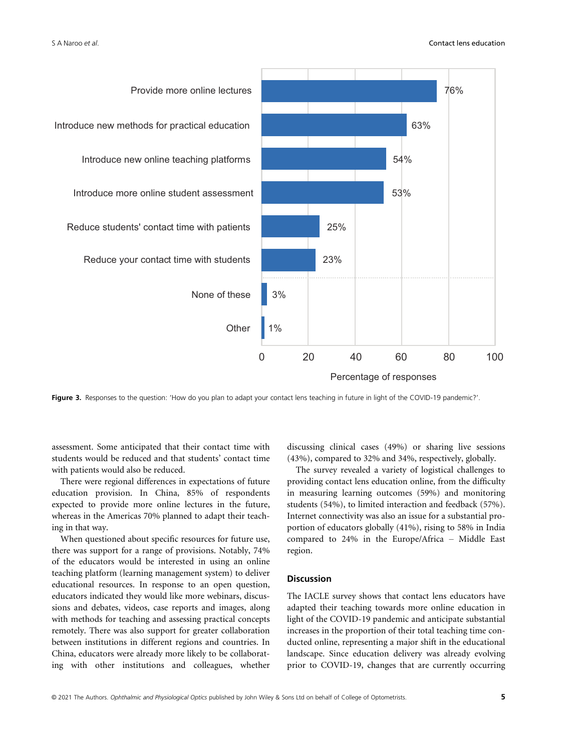

Figure 3. Responses to the question: 'How do you plan to adapt your contact lens teaching in future in light of the COVID-19 pandemic?'.

assessment. Some anticipated that their contact time with students would be reduced and that students' contact time with patients would also be reduced.

There were regional differences in expectations of future education provision. In China, 85% of respondents expected to provide more online lectures in the future, whereas in the Americas 70% planned to adapt their teaching in that way.

When questioned about specific resources for future use, there was support for a range of provisions. Notably, 74% of the educators would be interested in using an online teaching platform (learning management system) to deliver educational resources. In response to an open question, educators indicated they would like more webinars, discussions and debates, videos, case reports and images, along with methods for teaching and assessing practical concepts remotely. There was also support for greater collaboration between institutions in different regions and countries. In China, educators were already more likely to be collaborating with other institutions and colleagues, whether

discussing clinical cases (49%) or sharing live sessions (43%), compared to 32% and 34%, respectively, globally.

The survey revealed a variety of logistical challenges to providing contact lens education online, from the difficulty in measuring learning outcomes (59%) and monitoring students (54%), to limited interaction and feedback (57%). Internet connectivity was also an issue for a substantial proportion of educators globally (41%), rising to 58% in India compared to 24% in the Europe/Africa – Middle East region.

## Discussion

The IACLE survey shows that contact lens educators have adapted their teaching towards more online education in light of the COVID-19 pandemic and anticipate substantial increases in the proportion of their total teaching time conducted online, representing a major shift in the educational landscape. Since education delivery was already evolving prior to COVID-19, changes that are currently occurring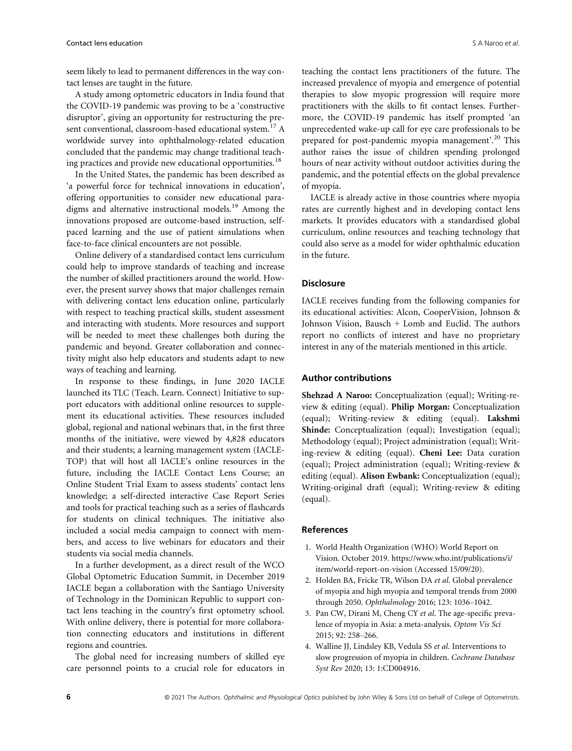seem likely to lead to permanent differences in the way contact lenses are taught in the future.

A study among optometric educators in India found that the COVID-19 pandemic was proving to be a 'constructive disruptor', giving an opportunity for restructuring the present conventional, classroom-based educational system.<sup>17</sup> A worldwide survey into ophthalmology-related education concluded that the pandemic may change traditional teaching practices and provide new educational opportunities.<sup>18</sup>

In the United States, the pandemic has been described as 'a powerful force for technical innovations in education', offering opportunities to consider new educational paradigms and alternative instructional models.<sup>19</sup> Among the innovations proposed are outcome-based instruction, selfpaced learning and the use of patient simulations when face-to-face clinical encounters are not possible.

Online delivery of a standardised contact lens curriculum could help to improve standards of teaching and increase the number of skilled practitioners around the world. However, the present survey shows that major challenges remain with delivering contact lens education online, particularly with respect to teaching practical skills, student assessment and interacting with students. More resources and support will be needed to meet these challenges both during the pandemic and beyond. Greater collaboration and connectivity might also help educators and students adapt to new ways of teaching and learning.

In response to these findings, in June 2020 IACLE launched its TLC (Teach. Learn. Connect) Initiative to support educators with additional online resources to supplement its educational activities. These resources included global, regional and national webinars that, in the first three months of the initiative, were viewed by 4,828 educators and their students; a learning management system (IACLE-TOP) that will host all IACLE's online resources in the future, including the IACLE Contact Lens Course; an Online Student Trial Exam to assess students' contact lens knowledge; a self-directed interactive Case Report Series and tools for practical teaching such as a series of flashcards for students on clinical techniques. The initiative also included a social media campaign to connect with members, and access to live webinars for educators and their students via social media channels.

In a further development, as a direct result of the WCO Global Optometric Education Summit, in December 2019 IACLE began a collaboration with the Santiago University of Technology in the Dominican Republic to support contact lens teaching in the country's first optometry school. With online delivery, there is potential for more collaboration connecting educators and institutions in different regions and countries.

The global need for increasing numbers of skilled eye care personnel points to a crucial role for educators in teaching the contact lens practitioners of the future. The increased prevalence of myopia and emergence of potential therapies to slow myopic progression will require more practitioners with the skills to fit contact lenses. Furthermore, the COVID-19 pandemic has itself prompted 'an unprecedented wake-up call for eye care professionals to be prepared for post-pandemic myopia management'.<sup>20</sup> This author raises the issue of children spending prolonged hours of near activity without outdoor activities during the pandemic, and the potential effects on the global prevalence of myopia.

IACLE is already active in those countries where myopia rates are currently highest and in developing contact lens markets. It provides educators with a standardised global curriculum, online resources and teaching technology that could also serve as a model for wider ophthalmic education in the future.

# **Disclosure**

IACLE receives funding from the following companies for its educational activities: Alcon, CooperVision, Johnson & Johnson Vision, Bausch + Lomb and Euclid. The authors report no conflicts of interest and have no proprietary interest in any of the materials mentioned in this article.

## Author contributions

Shehzad A Naroo: Conceptualization (equal); Writing-review & editing (equal). Philip Morgan: Conceptualization (equal); Writing-review & editing (equal). Lakshmi Shinde: Conceptualization (equal); Investigation (equal); Methodology (equal); Project administration (equal); Writing-review & editing (equal). Cheni Lee: Data curation (equal); Project administration (equal); Writing-review & editing (equal). Alison Ewbank: Conceptualization (equal); Writing-original draft (equal); Writing-review & editing (equal).

#### References

- 1. World Health Organization (WHO) World Report on Vision. October 2019. [https://www.who.int/publications/i/](https://www.who.int/publications/i/item/world-report-on-vision) [item/world-report-on-vision](https://www.who.int/publications/i/item/world-report-on-vision) (Accessed 15/09/20).
- 2. Holden BA, Fricke TR, Wilson DA et al. Global prevalence of myopia and high myopia and temporal trends from 2000 through 2050. Ophthalmology 2016; 123: 1036–1042.
- 3. Pan CW, Dirani M, Cheng CY et al. The age-specific prevalence of myopia in Asia: a meta-analysis. Optom Vis Sci 2015; 92: 258–266.
- 4. Walline JJ, Lindsley KB, Vedula SS et al. Interventions to slow progression of myopia in children. Cochrane Database Syst Rev 2020; 13: 1:CD004916.